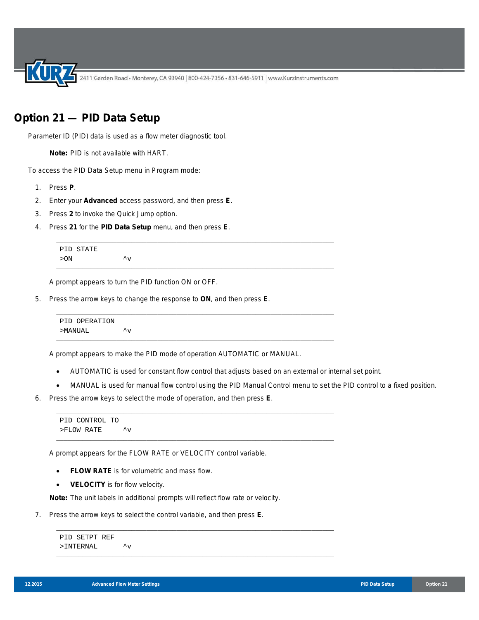2411 Garden Road • Monterey, CA 93940 | 800-424-7356 • 831-646-5911 | www.KurzInstruments.com

## **Option 21 — PID Data Setup**

Parameter ID (PID) data is used as a flow meter diagnostic tool.

**Note:** PID is not available with HART.

To access the PID Data Setup menu in Program mode:

- 1. Press **P**.
- 2. Enter your **Advanced** access password, and then press **E**.
- 3. Press **2** to invoke the Quick Jump option.
- 4. Press **21** for the **PID Data Setup** menu, and then press **E**.

```
PID STATE
> ON \qquad \qquad \, \mathcal{N}
```
A prompt appears to turn the PID function ON or OFF.

5. Press the arrow keys to change the response to **ON**, and then press **E**.

```
PID OPERATION
>MANUAL ^v
```
A prompt appears to make the PID mode of operation AUTOMATIC or MANUAL.

\_\_\_\_\_\_\_\_\_\_\_\_\_\_\_\_\_\_\_\_\_\_\_\_\_\_\_\_\_\_\_\_\_\_\_\_\_\_\_\_\_\_\_\_\_\_\_\_\_\_\_\_\_\_\_\_\_\_\_\_\_\_\_\_\_\_\_\_\_\_\_\_\_\_

\_\_\_\_\_\_\_\_\_\_\_\_\_\_\_\_\_\_\_\_\_\_\_\_\_\_\_\_\_\_\_\_\_\_\_\_\_\_\_\_\_\_\_\_\_\_\_\_\_\_\_\_\_\_\_\_\_\_\_\_\_\_\_\_\_\_\_\_\_\_\_\_\_\_

\_\_\_\_\_\_\_\_\_\_\_\_\_\_\_\_\_\_\_\_\_\_\_\_\_\_\_\_\_\_\_\_\_\_\_\_\_\_\_\_\_\_\_\_\_\_\_\_\_\_\_\_\_\_\_\_\_\_\_\_\_\_\_\_\_\_\_\_\_\_\_\_\_\_

\_\_\_\_\_\_\_\_\_\_\_\_\_\_\_\_\_\_\_\_\_\_\_\_\_\_\_\_\_\_\_\_\_\_\_\_\_\_\_\_\_\_\_\_\_\_\_\_\_\_\_\_\_\_\_\_\_\_\_\_\_\_\_\_\_\_\_\_\_\_\_\_\_\_

\_\_\_\_\_\_\_\_\_\_\_\_\_\_\_\_\_\_\_\_\_\_\_\_\_\_\_\_\_\_\_\_\_\_\_\_\_\_\_\_\_\_\_\_\_\_\_\_\_\_\_\_\_\_\_\_\_\_\_\_\_\_\_\_\_\_\_\_\_\_\_\_\_\_

\_\_\_\_\_\_\_\_\_\_\_\_\_\_\_\_\_\_\_\_\_\_\_\_\_\_\_\_\_\_\_\_\_\_\_\_\_\_\_\_\_\_\_\_\_\_\_\_\_\_\_\_\_\_\_\_\_\_\_\_\_\_\_\_\_\_\_\_\_\_\_\_\_\_

\_\_\_\_\_\_\_\_\_\_\_\_\_\_\_\_\_\_\_\_\_\_\_\_\_\_\_\_\_\_\_\_\_\_\_\_\_\_\_\_\_\_\_\_\_\_\_\_\_\_\_\_\_\_\_\_\_\_\_\_\_\_\_\_\_\_\_\_\_\_\_\_\_\_

\_\_\_\_\_\_\_\_\_\_\_\_\_\_\_\_\_\_\_\_\_\_\_\_\_\_\_\_\_\_\_\_\_\_\_\_\_\_\_\_\_\_\_\_\_\_\_\_\_\_\_\_\_\_\_\_\_\_\_\_\_\_\_\_\_\_\_\_\_\_\_\_\_\_

- AUTOMATIC is used for constant flow control that adjusts based on an external or internal set point.
- MANUAL is used for manual flow control using the PID Manual Control menu to set the PID control to a fixed position.
- 6. Press the arrow keys to select the mode of operation, and then press **E**.

```
PID CONTROL TO
> FLOW RATE \qquad \qquad \uparrow_V
```
A prompt appears for the FLOW RATE or VELOCITY control variable.

- **FLOW RATE** is for volumetric and mass flow.
- **VELOCITY** is for flow velocity.

**Note:** The unit labels in additional prompts will reflect flow rate or velocity.

7. Press the arrow keys to select the control variable, and then press **E**.

```
PID SETPT REF
>INTERNAL \simv
```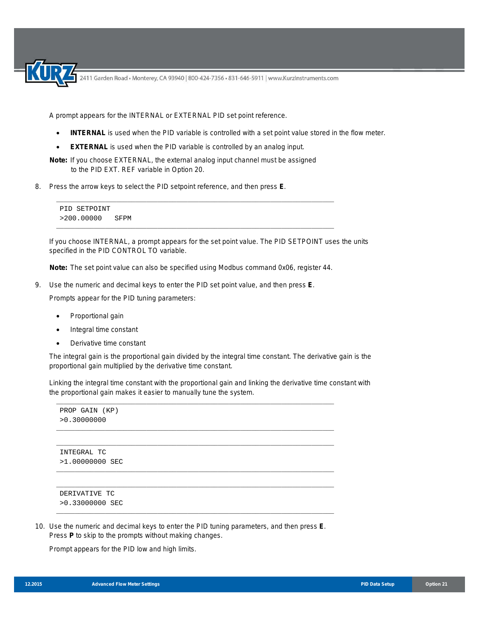2411 Garden Road • Monterey, CA 93940 | 800-424-7356 • 831-646-5911 | www.KurzInstruments.com

A prompt appears for the INTERNAL or EXTERNAL PID set point reference.

- **INTERNAL** is used when the PID variable is controlled with a set point value stored in the flow meter.
- **EXTERNAL** is used when the PID variable is controlled by an analog input.

**Note:** If you choose EXTERNAL, the external analog input channel must be assigned to the PID EXT. REF variable in Option 20.

8. Press the arrow keys to select the PID setpoint reference, and then press **E**.

PID SETPOINT >200.00000 SFPM

If you choose INTERNAL, a prompt appears for the set point value. The PID SETPOINT uses the units specified in the PID CONTROL TO variable.

**Note:** The set point value can also be specified using Modbus command 0x06, register 44.

\_\_\_\_\_\_\_\_\_\_\_\_\_\_\_\_\_\_\_\_\_\_\_\_\_\_\_\_\_\_\_\_\_\_\_\_\_\_\_\_\_\_\_\_\_\_\_\_\_\_\_\_\_\_\_\_\_\_\_\_\_\_\_\_\_\_\_\_\_\_\_\_\_\_

\_\_\_\_\_\_\_\_\_\_\_\_\_\_\_\_\_\_\_\_\_\_\_\_\_\_\_\_\_\_\_\_\_\_\_\_\_\_\_\_\_\_\_\_\_\_\_\_\_\_\_\_\_\_\_\_\_\_\_\_\_\_\_\_\_\_\_\_\_\_\_\_\_\_

9. Use the numeric and decimal keys to enter the PID set point value, and then press **E**.

Prompts appear for the PID tuning parameters:

- Proportional gain
- Integral time constant
- Derivative time constant

The integral gain is the proportional gain divided by the integral time constant. The derivative gain is the proportional gain multiplied by the derivative time constant.

Linking the integral time constant with the proportional gain and linking the derivative time constant with the proportional gain makes it easier to manually tune the system.

```
PROP GAIN (KP)
      >0.30000000
     __________________________________________________________________________
     __________________________________________________________________________
      INTEGRAL TC
      >1.00000000 SEC
     __________________________________________________________________________
     __________________________________________________________________________
      DERIVATIVE TC
      >0.33000000 SEC
     __________________________________________________________________________
10. Use the numeric and decimal keys to enter the PID tuning parameters, and then press E.
```
\_\_\_\_\_\_\_\_\_\_\_\_\_\_\_\_\_\_\_\_\_\_\_\_\_\_\_\_\_\_\_\_\_\_\_\_\_\_\_\_\_\_\_\_\_\_\_\_\_\_\_\_\_\_\_\_\_\_\_\_\_\_\_\_\_\_\_\_\_\_\_\_\_\_

Press **P** to skip to the prompts without making changes.

Prompt appears for the PID low and high limits.